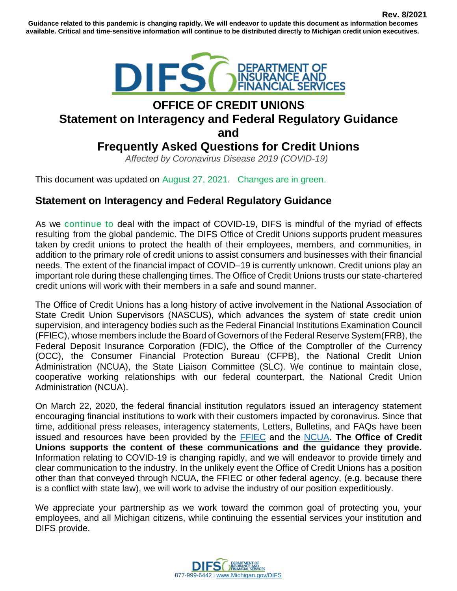

# **OFFICE OF CREDIT UNIONS Statement on Interagency and Federal Regulatory Guidance**

**and**

# **Frequently Asked Questions for Credit Unions**

*Affected by Coronavirus Disease 2019 (COVID-19)*

This document was updated on August 27, 2021. Changes are in green.

# **Statement on Interagency and Federal Regulatory Guidance**

As we continue to deal with the impact of COVID-19, DIFS is mindful of the myriad of effects resulting from the global pandemic. The DIFS Office of Credit Unions supports prudent measures taken by credit unions to protect the health of their employees, members, and communities, in addition to the primary role of credit unions to assist consumers and businesses with their financial needs. The extent of the financial impact of COVID–19 is currently unknown. Credit unions play an important role during these challenging times. The Office of Credit Unions trusts our state-chartered credit unions will work with their members in a safe and sound manner.

The Office of Credit Unions has a long history of active involvement in the National Association of State Credit Union Supervisors (NASCUS), which advances the system of state credit union supervision, and interagency bodies such as the Federal Financial Institutions Examination Council (FFIEC), whose members include the Board of Governors of the Federal Reserve System(FRB), the Federal Deposit Insurance Corporation (FDIC), the Office of the Comptroller of the Currency (OCC), the Consumer Financial Protection Bureau (CFPB), the National Credit Union Administration (NCUA), the State Liaison Committee (SLC). We continue to maintain close, cooperative working relationships with our federal counterpart, the National Credit Union Administration (NCUA).

On March 22, 2020, the federal financial institution regulators issued an interagency statement encouraging financial institutions to work with their customers impacted by coronavirus. Since that time, additional press releases, interagency statements, Letters, Bulletins, and FAQs have been issued and resources have been provided by the [FFIEC](https://www.ncua.gov/files/press-releases-news/loan-modifications-reporting-coronavirus-v2.pdf) and the [NCUA.](https://www.ncua.gov/coronavirus/frequently-asked-questions-regarding-covid-19-ncua-and-credit-union-operations) **The Office of Credit Unions supports the content of these communications and the guidance they provide.** Information relating to COVID-19 is changing rapidly, and we will endeavor to provide timely and clear communication to the industry. In the unlikely event the Office of Credit Unions has a position other than that conveyed through NCUA, the FFIEC or other federal agency, (e.g. because there is a conflict with state law), we will work to advise the industry of our position expeditiously.

We appreciate your partnership as we work toward the common goal of protecting you, your employees, and all Michigan citizens, while continuing the essential services your institution and DIFS provide.

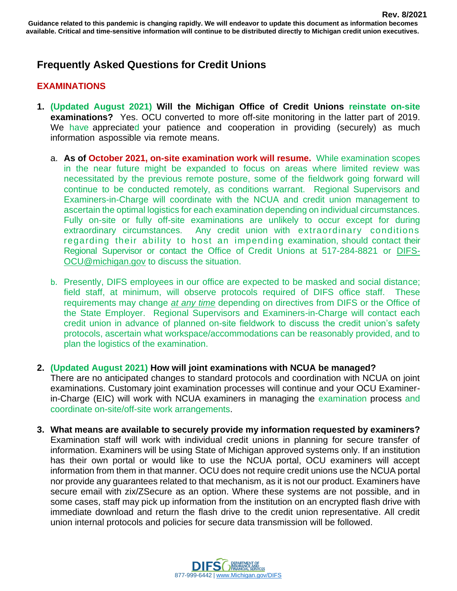# **Frequently Asked Questions for Credit Unions**

## **EXAMINATIONS**

- **1. (Updated August 2021) Will the Michigan Office of Credit Unions reinstate on-site examinations?** Yes. OCU converted to more off-site monitoring in the latter part of 2019. We have appreciated your patience and cooperation in providing (securely) as much information aspossible via remote means.
	- a. **As of October 2021, on-site examination work will resume.** While examination scopes in the near future might be expanded to focus on areas where limited review was necessitated by the previous remote posture, some of the fieldwork going forward will continue to be conducted remotely, as conditions warrant. Regional Supervisors and Examiners-in-Charge will coordinate with the NCUA and credit union management to ascertain the optimal logistics for each examination depending on individual circumstances. Fully on-site or fully off-site examinations are unlikely to occur except for during extraordinary circumstances. Any credit union with extraordinary conditions regarding their ability to host an impending examination, should contact their Regional Supervisor or contact the Office of Credit Unions at 517-284-8821 or DIFS-OCU@michigan.gov to discuss the situation.
	- b. Presently, DIFS employees in our office are expected to be masked and social distance; field staff, at minimum, will observe protocols required of DIFS office staff. These requirements may change *at any time* depending on directives from DIFS or the Office of the State Employer. Regional Supervisors and Examiners-in-Charge will contact each credit union in advance of planned on-site fieldwork to discuss the credit union's safety protocols, ascertain what workspace/accommodations can be reasonably provided, and to plan the logistics of the examination.
- **2. (Updated August 2021) How will joint examinations with NCUA be managed?**

There are no anticipated changes to standard protocols and coordination with NCUA on joint examinations. Customary joint examination processes will continue and your OCU Examinerin-Charge (EIC) will work with NCUA examiners in managing the examination process and coordinate on-site/off-site work arrangements.

**3. What means are available to securely provide my information requested by examiners?** Examination staff will work with individual credit unions in planning for secure transfer of information. Examiners will be using State of Michigan approved systems only. If an institution has their own portal or would like to use the NCUA portal, OCU examiners will accept information from them in that manner. OCU does not require credit unions use the NCUA portal nor provide any guarantees related to that mechanism, as it is not our product. Examiners have secure email with zix/ZSecure as an option. Where these systems are not possible, and in some cases, staff may pick up information from the institution on an encrypted flash drive with immediate download and return the flash drive to the credit union representative. All credit union internal protocols and policies for secure data transmission will be followed.

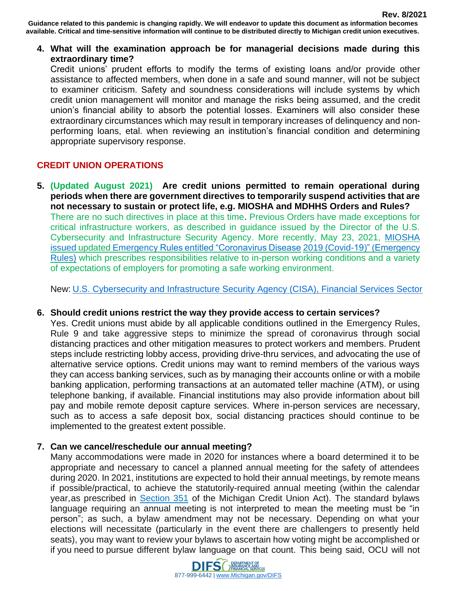**4. What will the examination approach be for managerial decisions made during this extraordinary time?**

Credit unions' prudent efforts to modify the terms of existing loans and/or provide other assistance to affected members, when done in a safe and sound manner, will not be subject to examiner criticism. Safety and soundness considerations will include systems by which credit union management will monitor and manage the risks being assumed, and the credit union's financial ability to absorb the potential losses. Examiners will also consider these extraordinary circumstances which may result in temporary increases of delinquency and nonperforming loans, etal. when reviewing an institution's financial condition and determining appropriate supervisory response.

## **CREDIT UNION OPERATIONS**

**5. (Updated August 2021) Are credit unions permitted to remain operational during periods when there are government directives to temporarily suspend activities that are not necessary to sustain or protect life, e.g. MIOSHA and MDHHS Orders and Rules?** There are no such directives in place at this time. Previous Orders have made exceptions for critical infrastructure workers, as described in guidance issued by the Director of the U.S. Cybersecurity and Infrastructure Security Agency. More recently, May 23, 2021, [MIOSHA](https://www.michigan.gov/documents/leo/Final_MIOSHA_Rules_705164_7.pdf)  issued updated [Emergency Rules entitled "Coronavirus Disease](https://www.michigan.gov/documents/leo/Final_MIOSHA_Rules_705164_7.pdf) [2019 \(Covid-19\)" \(Emergency](https://www.michigan.gov/documents/leo/Final_MIOSHA_Rules_705164_7.pdf)  [Rules\)](https://www.michigan.gov/documents/leo/Final_MIOSHA_Rules_705164_7.pdf) which prescribes responsibilities relative to in-person working conditions and a variety of expectations of employers for promoting a safe working environment.

New: [U.S. Cybersecurity and Infrastructure Security Agency \(CISA\), Financial Services Sector](https://www.cisa.gov/financial-services-sector)

### **6. Should credit unions restrict the way they provide access to certain services?**

Yes. Credit unions must abide by all applicable conditions outlined in the Emergency Rules, Rule 9 and take aggressive steps to minimize the spread of coronavirus through social distancing practices and other mitigation measures to protect workers and members. Prudent steps include restricting lobby access, providing drive-thru services, and advocating the use of alternative service options. Credit unions may want to remind members of the various ways they can access banking services, such as by managing their accounts online or with a mobile banking application, performing transactions at an automated teller machine (ATM), or using telephone banking, if available. Financial institutions may also provide information about bill pay and mobile remote deposit capture services. Where in-person services are necessary, such as to access a safe deposit box, social distancing practices should continue to be implemented to the greatest extent possible.

## **7. Can we cancel/reschedule our annual meeting?**

Many accommodations were made in 2020 for instances where a board determined it to be appropriate and necessary to cancel a planned annual meeting for the safety of attendees during 2020. In 2021, institutions are expected to hold their annual meetings, by remote means if possible/practical, to achieve the statutorily-required annual meeting (within the calendar year,as prescribed in [Section](http://www.legislature.mi.gov/(S(l4vhat3mdffz0tksjrmvbhd1))/mileg.aspx?page=GetMCLDocument&objectname=mcl-490-351) 351 of the Michigan Credit Union Act). The standard bylaws language requiring an annual meeting is not interpreted to mean the meeting must be "in person"; as such, a bylaw amendment may not be necessary. Depending on what your elections will necessitate (particularly in the event there are challengers to presently held seats), you may want to review your bylaws to ascertain how voting might be accomplished or if you need to pursue different bylaw language on that count. This being said, OCU will not

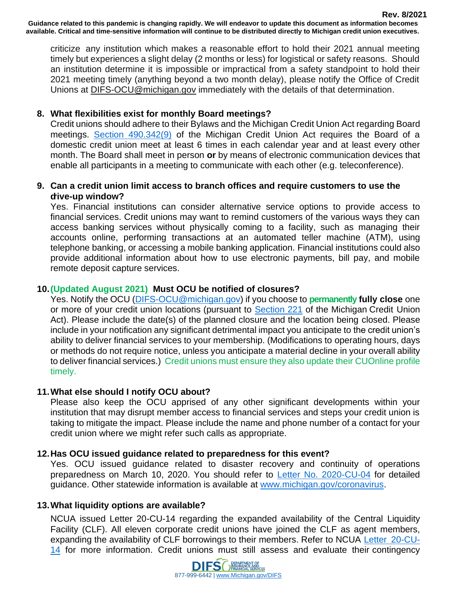criticize any institution which makes a reasonable effort to hold their 2021 annual meeting timely but experiences a slight delay (2 months or less) for logistical or safety reasons. Should an institution determine it is impossible or impractical from a safety standpoint to hold their 2021 meeting timely (anything beyond a two month delay), please notify the Office of Credit Unions at [DIFS-OCU@michigan.gov](mailto:DIFS-OCU@michigan.gov) immediately with the details of that determination.

## **8. What flexibilities exist for monthly Board meetings?**

Credit unions should adhere to their Bylaws and the Michigan Credit Union Act regarding Board meetings. [Section 490.342\(9\)](http://www.legislature.mi.gov/(S(rh4ebawslwan1kols4g335wr))/mileg.aspx?page=GetObject&objectname=mcl-490-342) of the Michigan Credit Union Act requires the Board of a domestic credit union meet at least 6 times in each calendar year and at least every other month. The Board shall meet in person **or** by means of electronic communication devices that enable all participants in a meeting to communicate with each other (e.g. teleconference).

#### **9. Can a credit union limit access to branch offices and require customers to use the drive-up window?**

Yes. Financial institutions can consider alternative service options to provide access to financial services. Credit unions may want to remind customers of the various ways they can access banking services without physically coming to a facility, such as managing their accounts online, performing transactions at an automated teller machine (ATM), using telephone banking, or accessing a mobile banking application. Financial institutions could also provide additional information about how to use electronic payments, bill pay, and mobile remote deposit capture services.

## **10.(Updated August 2021) Must OCU be notified of closures?**

Yes. Notify the OCU [\(DIFS-OCU@michigan.gov\)](mailto:DIFS-OCU@michigan.gov) if you choose to **permanently fully close** one or more of your credit union locations (pursuant to [Section](http://www.legislature.mi.gov/(S(huty32wqjp22rzzizmuzytjr))/mileg.aspx?page=GetMCLDocument&objectname=mcl-490-221) 221 of the Michigan Credit Union Act). Please include the date(s) of the planned closure and the location being closed. Please include in your notification any significant detrimental impact you anticipate to the credit union's ability to deliver financial services to your membership. (Modifications to operating hours, days or methods do not require notice, unless you anticipate a material decline in your overall ability to deliver financial services.) Credit unions must ensure they also update their CUOnline profile timely.

## **11.What else should I notify OCU about?**

Please also keep the OCU apprised of any other significant developments within your institution that may disrupt member access to financial services and steps your credit union is taking to mitigate the impact. Please include the name and phone number of a contact for your credit union where we might refer such calls as appropriate.

## **12.Has OCU issued guidance related to preparedness for this event?**

Yes. OCU issued guidance related to disaster recovery and continuity of operations preparedness on March 10, 2020. You should refer to [Letter No. 2020-CU-04](https://www.michigan.gov/documents/difs/Letter_2020-CU-04_683623_7.pdf) for detailed guidance. Other statewide information is available at [www.michigan.gov/coronavirus.](http://www.michigan.gov/coronavirus)

#### **13.What liquidity options are available?**

NCUA issued Letter 20-CU-14 regarding the expanded availability of the Central Liquidity Facility (CLF). All eleven corporate credit unions have joined the CLF as agent members, expanding the availability of CLF borrowings to their members. Refer to NCUA Letter [20-CU-](https://www.ncua.gov/regulation-supervision/letters-credit-unions-other-guidance/establishment-clf-agent-memberships)[14](https://www.ncua.gov/regulation-supervision/letters-credit-unions-other-guidance/establishment-clf-agent-memberships) for more information. Credit unions must still assess and evaluate their contingency

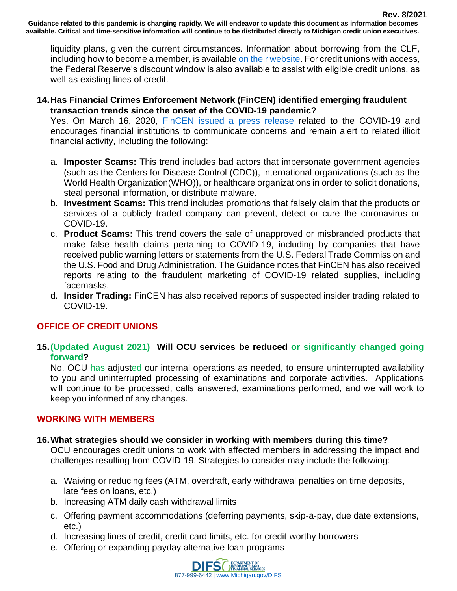liquidity plans, given the current circumstances. Information about borrowing from the CLF, including how to become a member, is available [on their website.](https://www.ncua.gov/support-services/central-liquidity-facility) For credit unions with access, the Federal Reserve's discount window is also available to assist with eligible credit unions, as well as existing lines of credit.

**14.Has Financial Crimes Enforcement Network (FinCEN) identified emerging fraudulent transaction trends since the onset of the COVID-19 pandemic?**

Yes. On March 16, 2020, [FinCEN issued a press release](https://www.fincen.gov/news/news-releases/financial-crimes-enforcement-network-fincen-encourages-financial-institutions) related to the COVID-19 and encourages financial institutions to communicate concerns and remain alert to related illicit financial activity, including the following:

- a. **Imposter Scams:** This trend includes bad actors that impersonate government agencies (such as the Centers for Disease Control (CDC)), international organizations (such as the World Health Organization(WHO)), or healthcare organizations in order to solicit donations, steal personal information, or distribute malware.
- b. **Investment Scams:** This trend includes promotions that falsely claim that the products or services of a publicly traded company can prevent, detect or cure the coronavirus or COVID-19.
- c. **Product Scams:** This trend covers the sale of unapproved or misbranded products that make false health claims pertaining to COVID-19, including by companies that have received public warning letters or statements from the U.S. Federal Trade Commission and the U.S. Food and Drug Administration. The Guidance notes that FinCEN has also received reports relating to the fraudulent marketing of COVID-19 related supplies, including facemasks.
- d. **Insider Trading:** FinCEN has also received reports of suspected insider trading related to COVID-19.

## **OFFICE OF CREDIT UNIONS**

### **15.(Updated August 2021) Will OCU services be reduced or significantly changed going forward?**

No. OCU has adjusted our internal operations as needed, to ensure uninterrupted availability to you and uninterrupted processing of examinations and corporate activities. Applications will continue to be processed, calls answered, examinations performed, and we will work to keep you informed of any changes.

## **WORKING WITH MEMBERS**

#### **16.What strategies should we consider in working with members during this time?**

OCU encourages credit unions to work with affected members in addressing the impact and challenges resulting from COVID-19. Strategies to consider may include the following:

- a. Waiving or reducing fees (ATM, overdraft, early withdrawal penalties on time deposits, late fees on loans, etc.)
- b. Increasing ATM daily cash withdrawal limits
- c. Offering payment accommodations (deferring payments, skip-a-pay, due date extensions, etc.)
- d. Increasing lines of credit, credit card limits, etc. for credit-worthy borrowers
- e. Offering or expanding payday alternative loan programs

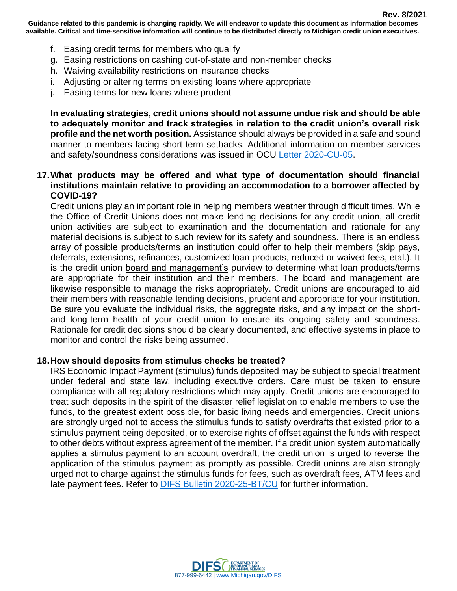- f. Easing credit terms for members who qualify
- g. Easing restrictions on cashing out-of-state and non-member checks
- h. Waiving availability restrictions on insurance checks
- i. Adjusting or altering terms on existing loans where appropriate
- j. Easing terms for new loans where prudent

**In evaluating strategies, credit unions should not assume undue risk and should be able to adequately monitor and track strategies in relation to the credit union's overall risk profile and the net worth position.** Assistance should always be provided in a safe and sound manner to members facing short-term setbacks. Additional information on member services and safety/soundness considerations was issued in OCU Letter [2020-CU-05.](https://www.michigan.gov/documents/difs/Letter_2020-CU-05_690154_7.pdf)

#### **17.What products may be offered and what type of documentation should financial institutions maintain relative to providing an accommodation to a borrower affected by COVID-19?**

Credit unions play an important role in helping members weather through difficult times. While the Office of Credit Unions does not make lending decisions for any credit union, all credit union activities are subject to examination and the documentation and rationale for any material decisions is subject to such review for its safety and soundness. There is an endless array of possible products/terms an institution could offer to help their members (skip pays, deferrals, extensions, refinances, customized loan products, reduced or waived fees, etal.). It is the credit union board and management's purview to determine what loan products/terms are appropriate for their institution and their members. The board and management are likewise responsible to manage the risks appropriately. Credit unions are encouraged to aid their members with reasonable lending decisions, prudent and appropriate for your institution. Be sure you evaluate the individual risks, the aggregate risks, and any impact on the shortand long-term health of your credit union to ensure its ongoing safety and soundness. Rationale for credit decisions should be clearly documented, and effective systems in place to monitor and control the risks being assumed.

#### **18.How should deposits from stimulus checks be treated?**

IRS Economic Impact Payment (stimulus) funds deposited may be subject to special treatment under federal and state law, including executive orders. Care must be taken to ensure compliance with all regulatory restrictions which may apply. Credit unions are encouraged to treat such deposits in the spirit of the disaster relief legislation to enable members to use the funds, to the greatest extent possible, for basic living needs and emergencies. Credit unions are strongly urged not to access the stimulus funds to satisfy overdrafts that existed prior to a stimulus payment being deposited, or to exercise rights of offset against the funds with respect to other debts without express agreement of the member. If a credit union system automatically applies a stimulus payment to an account overdraft, the credit union is urged to reverse the application of the stimulus payment as promptly as possible. Credit unions are also strongly urged not to charge against the stimulus funds for fees, such as overdraft fees, ATM fees and late payment fees. Refer to DIFS [Bulletin 2020-25-BT/CU](https://www.michigan.gov/documents/difs/Bulletin_2020-25-BT-CU_690521_7.pdf) for further information.

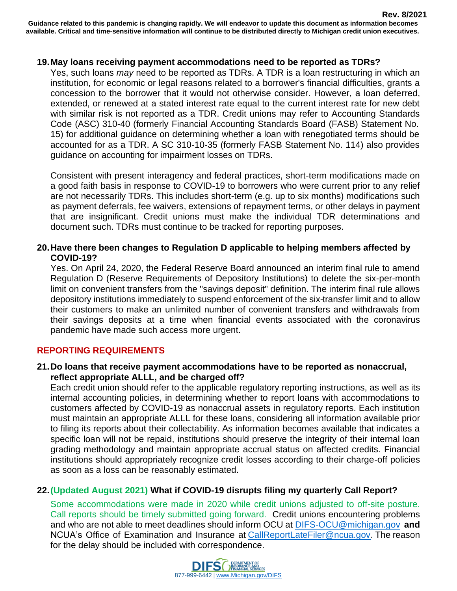#### **19.May loans receiving payment accommodations need to be reported as TDRs?**

Yes, such loans *may* need to be reported as TDRs. A TDR is a loan restructuring in which an institution, for economic or legal reasons related to a borrower's financial difficulties, grants a concession to the borrower that it would not otherwise consider. However, a loan deferred, extended, or renewed at a stated interest rate equal to the current interest rate for new debt with similar risk is not reported as a TDR. Credit unions may refer to Accounting Standards Code (ASC) 310-40 (formerly Financial Accounting Standards Board (FASB) Statement No. 15) for additional guidance on determining whether a loan with renegotiated terms should be accounted for as a TDR. A SC 310-10-35 (formerly FASB Statement No. 114) also provides guidance on accounting for impairment losses on TDRs.

Consistent with present interagency and federal practices, short-term modifications made on a good faith basis in response to COVID-19 to borrowers who were current prior to any relief are not necessarily TDRs. This includes short-term (e.g. up to six months) modifications such as payment deferrals, fee waivers, extensions of repayment terms, or other delays in payment that are insignificant. Credit unions must make the individual TDR determinations and document such. TDRs must continue to be tracked for reporting purposes.

### **20.Have there been changes to Regulation D applicable to helping members affected by COVID-19?**

Yes. On April 24, 2020, the Federal Reserve Board announced an interim final rule to amend Regulation D (Reserve Requirements of Depository Institutions) to delete the six-per-month limit on convenient transfers from the "savings deposit" definition. The interim final rule allows depository institutions immediately to suspend enforcement of the six-transfer limit and to allow their customers to make an unlimited number of convenient transfers and withdrawals from their savings deposits at a time when financial events associated with the coronavirus pandemic have made such access more urgent.

#### **REPORTING REQUIREMENTS**

#### **21.Do loans that receive payment accommodations have to be reported as nonaccrual, reflect appropriate ALLL, and be charged off?**

Each credit union should refer to the applicable regulatory reporting instructions, as well as its internal accounting policies, in determining whether to report loans with accommodations to customers affected by COVID-19 as nonaccrual assets in regulatory reports. Each institution must maintain an appropriate ALLL for these loans, considering all information available prior to filing its reports about their collectability. As information becomes available that indicates a specific loan will not be repaid, institutions should preserve the integrity of their internal loan grading methodology and maintain appropriate accrual status on affected credits. Financial institutions should appropriately recognize credit losses according to their charge-off policies as soon as a loss can be reasonably estimated.

#### **22.(Updated August 2021) What if COVID-19 disrupts filing my quarterly Call Report?**

Some accommodations were made in 2020 while credit unions adjusted to off-site posture. Call reports should be timely submitted going forward. Credit unions encountering problems and who are not able to meet deadlines should inform OCU at [DIFS-OCU@michigan.gov](mailto:DIFS-OCU@michigan.gov) **and** NCUA's Office of Examination and Insurance at [CallReportLateFiler@ncua.gov.](mailto:CallReportLateFiler@ncua.gov) The reason for the delay should be included with correspondence.